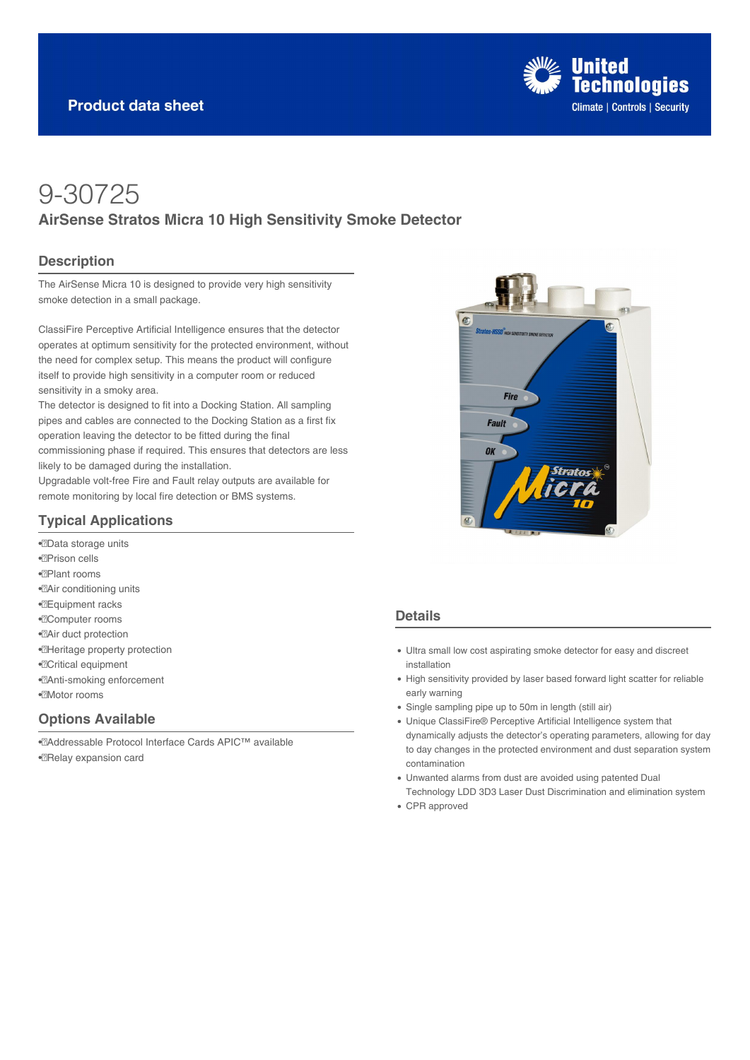

# 9-30725 **AirSense Stratos Micra 10 High Sensitivity Smoke Detector**

### **Description**

The AirSense Micra 10 is designed to provide very high sensitivity smoke detection in a small package.

ClassiFire Perceptive Artificial Intelligence ensures that the detector operates at optimum sensitivity for the protected environment, without the need for complex setup. This means the product will configure itself to provide high sensitivity in a computer room or reduced sensitivity in a smoky area.

The detector is designed to fit into a Docking Station. All sampling pipes and cables are connected to the Docking Station as a first fix operation leaving the detector to be fitted during the final commissioning phase if required. This ensures that detectors are less likely to be damaged during the installation.

Upgradable volt-free Fire and Fault relay outputs are available for remote monitoring by local fire detection or BMS systems.

## **Typical Applications**

• Data storage units • Prison cells • Plant rooms •<sup>2</sup>Air conditioning units • Equipment racks •*<u></u>*Computer rooms •**Air duct protection** • Heritage property protection • Critical equipment •<sup>2</sup>Anti-smoking enforcement ·**Motor** rooms

## **Options Available**

• Addressable Protocol Interface Cards APIC™ available • Relay expansion card



### **Details**

- Ultra small low cost aspirating smoke detector for easy and discreet installation
- High sensitivity provided by laser based forward light scatter for reliable early warning
- Single sampling pipe up to 50m in length (still air)
- Unique ClassiFire® Perceptive Artificial Intelligence system that dynamically adjusts the detector's operating parameters, allowing for day to day changes in the protected environment and dust separation system contamination
- Unwanted alarms from dust are avoided using patented Dual Technology LDD 3D3 Laser Dust Discrimination and elimination system
- CPR approved